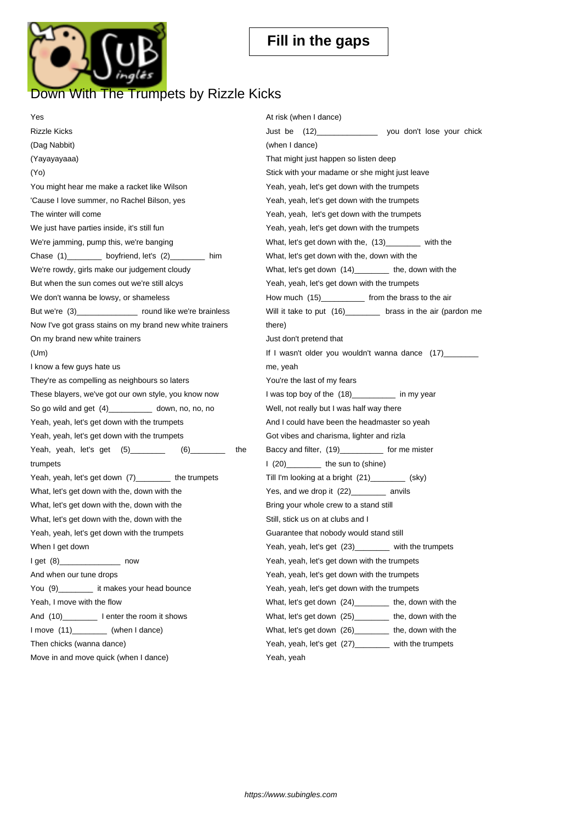## [Down With The Trump](https://www.subingles.com)ets by Rizzle Kicks

Yes Rizzle Kicks (Dag Nabbit) (Yayayayaaa) (Yo) You might hear me make a racket like Wilson 'Cause I love summer, no Rachel Bilson, yes The winter will come We just have parties inside, it's still fun We're jamming, pump this, we're banging Chase (1) boyfriend, let's (2) him We're rowdy, girls make our judgement cloudy But when the sun comes out we're still alcys We don't wanna be lowsy, or shameless But we're (3)\_\_\_\_\_\_\_\_\_\_\_\_\_\_\_\_\_\_\_ round like we're brainless Now I've got grass stains on my brand new white trainers On my brand new white trainers (Um) I know a few guys hate us They're as compelling as neighbours so laters These blayers, we've got our own style, you know now So go wild and get  $(4)$ \_\_\_\_\_\_\_\_\_\_ down, no, no, no Yeah, yeah, let's get down with the trumpets Yeah, yeah, let's get down with the trumpets Yeah, yeah, let's get (5)\_\_\_\_\_\_\_\_ (6)\_\_\_\_\_\_\_\_ the trumpets Yeah, yeah, let's get down (7)\_\_\_\_\_\_\_\_ the trumpets What, let's get down with the, down with the What, let's get down with the, down with the What, let's get down with the, down with the Yeah, yeah, let's get down with the trumpets When I get down I get (8)\_\_\_\_\_\_\_\_\_\_\_\_\_\_ now And when our tune drops You (9) it makes your head bounce Yeah, I move with the flow And (10)\_\_\_\_\_\_\_\_\_\_\_ I enter the room it shows I move (11)\_\_\_\_\_\_\_\_ (when I dance) Then chicks (wanna dance) Move in and move quick (when I dance) At risk (when I dance) Just be (12)\_\_\_\_\_\_\_\_\_\_\_\_\_\_ you don't lose your chick (when I dance) That might just happen so listen deep Stick with your madame or she might just leave Yeah, yeah, let's get down with the trumpets Yeah, yeah, let's get down with the trumpets Yeah, yeah, let's get down with the trumpets Yeah, yeah, let's get down with the trumpets What, let's get down with the,  $(13)$ \_\_\_\_\_\_\_ with the What, let's get down with the, down with the What, let's get down  $(14)$ \_\_\_\_\_\_\_ the, down with the Yeah, yeah, let's get down with the trumpets How much (15) from the brass to the air Will it take to put (16) brass in the air (pardon me there) Just don't pretend that If I wasn't older you wouldn't wanna dance (17)\_\_\_\_\_\_\_\_\_\_\_\_\_\_\_\_\_\_\_\_\_\_\_\_\_\_\_\_\_\_\_\_\_ me, yeah You're the last of my fears I was top boy of the (18) in my year Well, not really but I was half way there And I could have been the headmaster so yeah Got vibes and charisma, lighter and rizla Baccy and filter, (19)\_\_\_\_\_\_\_\_\_\_ for me mister I (20)\_\_\_\_\_\_\_\_ the sun to (shine) Till I'm looking at a bright (21)\_\_\_\_\_\_\_\_ (sky) Yes, and we drop it (22)\_\_\_\_\_\_\_\_ anvils Bring your whole crew to a stand still Still, stick us on at clubs and I Guarantee that nobody would stand still Yeah, yeah, let's get (23)\_\_\_\_\_\_\_\_ with the trumpets Yeah, yeah, let's get down with the trumpets Yeah, yeah, let's get down with the trumpets Yeah, yeah, let's get down with the trumpets What, let's get down  $(24)$ \_\_\_\_\_\_\_\_ the, down with the What, let's get down (25)\_\_\_\_\_\_\_\_ the, down with the What, let's get down  $(26)$ \_\_\_\_\_\_\_\_ the, down with the Yeah, yeah, let's get (27)\_\_\_\_\_\_\_\_ with the trumpets Yeah, yeah